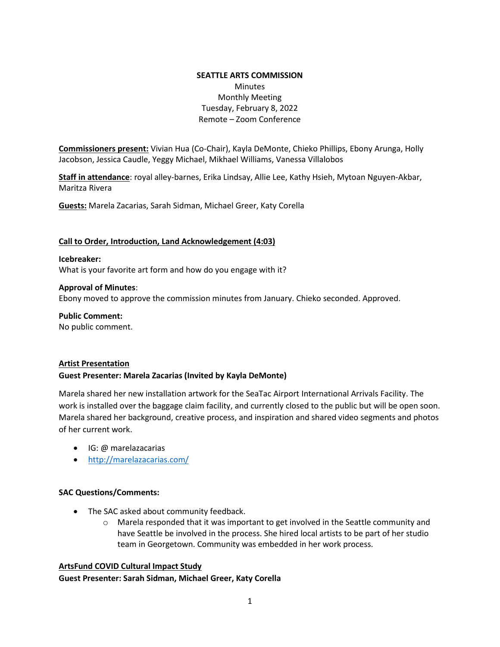### **SEATTLE ARTS COMMISSION**  Minutes Monthly Meeting Tuesday, February 8, 2022 Remote – Zoom Conference

**Commissioners present:** Vivian Hua (Co-Chair), Kayla DeMonte, Chieko Phillips, Ebony Arunga, Holly Jacobson, Jessica Caudle, Yeggy Michael, Mikhael Williams, Vanessa Villalobos

**Staff in attendance**: royal alley-barnes, Erika Lindsay, Allie Lee, Kathy Hsieh, Mytoan Nguyen-Akbar, Maritza Rivera

**Guests:** Marela Zacarias, Sarah Sidman, Michael Greer, Katy Corella

### **Call to Order, Introduction, Land Acknowledgement (4:03)**

**Icebreaker:**  What is your favorite art form and how do you engage with it?

**Approval of Minutes**: Ebony moved to approve the commission minutes from January. Chieko seconded. Approved.

**Public Comment:** No public comment.

### **Artist Presentation**

### **Guest Presenter: Marela Zacarias (Invited by Kayla DeMonte)**

Marela shared her new installation artwork for the SeaTac Airport International Arrivals Facility. The work is installed over the baggage claim facility, and currently closed to the public but will be open soon. Marela shared her background, creative process, and inspiration and shared video segments and photos of her current work.

- IG: @ marelazacarias
- <http://marelazacarias.com/>

### **SAC Questions/Comments:**

- The SAC asked about community feedback.
	- $\circ$  Marela responded that it was important to get involved in the Seattle community and have Seattle be involved in the process. She hired local artists to be part of her studio team in Georgetown. Community was embedded in her work process.

### **ArtsFund COVID Cultural Impact Study**

**Guest Presenter: Sarah Sidman, Michael Greer, Katy Corella**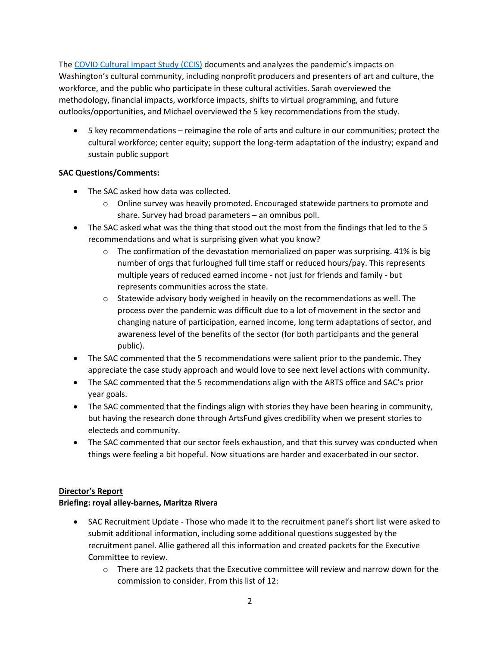The [COVID Cultural Impact Study \(CCIS\)](https://www.artsfund.org/wa-covid-cultural-impact-study/) documents and analyzes the pandemic's impacts on Washington's cultural community, including nonprofit producers and presenters of art and culture, the workforce, and the public who participate in these cultural activities. Sarah overviewed the methodology, financial impacts, workforce impacts, shifts to virtual programming, and future outlooks/opportunities, and Michael overviewed the 5 key recommendations from the study.

• 5 key recommendations – reimagine the role of arts and culture in our communities; protect the cultural workforce; center equity; support the long-term adaptation of the industry; expand and sustain public support

# **SAC Questions/Comments:**

- The SAC asked how data was collected.
	- $\circ$  Online survey was heavily promoted. Encouraged statewide partners to promote and share. Survey had broad parameters – an omnibus poll.
- The SAC asked what was the thing that stood out the most from the findings that led to the 5 recommendations and what is surprising given what you know?
	- $\circ$  The confirmation of the devastation memorialized on paper was surprising. 41% is big number of orgs that furloughed full time staff or reduced hours/pay. This represents multiple years of reduced earned income - not just for friends and family - but represents communities across the state.
	- $\circ$  Statewide advisory body weighed in heavily on the recommendations as well. The process over the pandemic was difficult due to a lot of movement in the sector and changing nature of participation, earned income, long term adaptations of sector, and awareness level of the benefits of the sector (for both participants and the general public).
- The SAC commented that the 5 recommendations were salient prior to the pandemic. They appreciate the case study approach and would love to see next level actions with community.
- The SAC commented that the 5 recommendations align with the ARTS office and SAC's prior year goals.
- The SAC commented that the findings align with stories they have been hearing in community, but having the research done through ArtsFund gives credibility when we present stories to electeds and community.
- The SAC commented that our sector feels exhaustion, and that this survey was conducted when things were feeling a bit hopeful. Now situations are harder and exacerbated in our sector.

# **Director's Report**

# **Briefing: royal alley-barnes, Maritza Rivera**

- SAC Recruitment Update Those who made it to the recruitment panel's short list were asked to submit additional information, including some additional questions suggested by the recruitment panel. Allie gathered all this information and created packets for the Executive Committee to review.
	- o There are 12 packets that the Executive committee will review and narrow down for the commission to consider. From this list of 12: